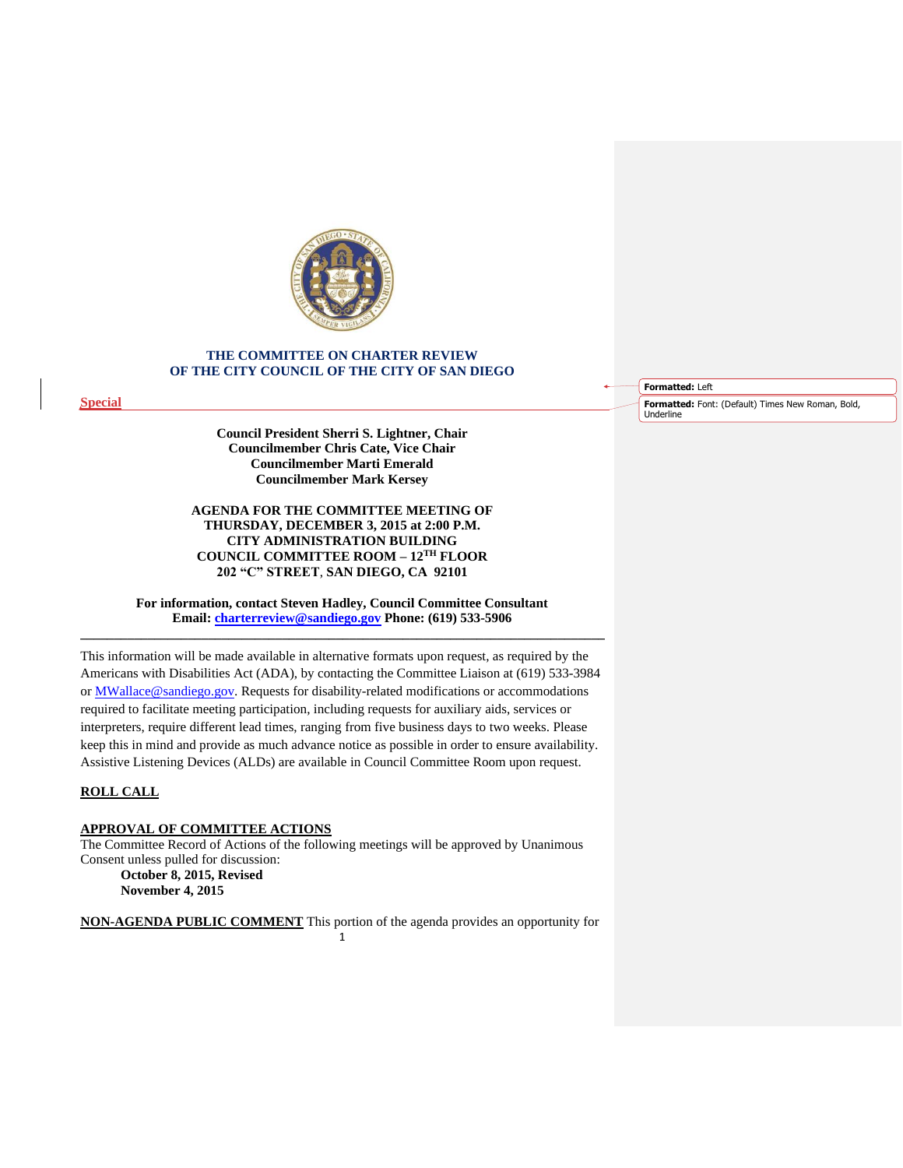

# **THE COMMITTEE ON CHARTER REVIEW OF THE CITY COUNCIL OF THE CITY OF SAN DIEGO**

**Special**

**Council President Sherri S. Lightner, Chair Councilmember Chris Cate, Vice Chair Councilmember Marti Emerald Councilmember Mark Kersey**

**AGENDA FOR THE COMMITTEE MEETING OF THURSDAY, DECEMBER 3, 2015 at 2:00 P.M. CITY ADMINISTRATION BUILDING COUNCIL COMMITTEE ROOM – 12TH FLOOR 202 "C" STREET**, **SAN DIEGO, CA 92101**

**For information, contact Steven Hadley, Council Committee Consultant Email: [charterreview@sandiego.gov](mailto:charterreview@sandiego.gov) Phone: (619) 533-5906 \_\_\_\_\_\_\_\_\_\_\_\_\_\_\_\_\_\_\_\_\_\_\_\_\_\_\_\_\_\_\_\_\_\_\_\_\_\_\_\_\_\_\_\_\_\_\_\_\_\_\_\_\_\_\_\_\_\_\_\_\_\_\_\_\_\_\_\_\_\_\_\_\_\_\_\_\_\_**

This information will be made available in alternative formats upon request, as required by the Americans with Disabilities Act (ADA), by contacting the Committee Liaison at (619) 533-3984 or MWallace@sandiego.gov. Requests for disability-related modifications or accommodations required to facilitate meeting participation, including requests for auxiliary aids, services or interpreters, require different lead times, ranging from five business days to two weeks. Please keep this in mind and provide as much advance notice as possible in order to ensure availability. Assistive Listening Devices (ALDs) are available in Council Committee Room upon request.

## **ROLL CALL**

# **APPROVAL OF COMMITTEE ACTIONS**

The Committee Record of Actions of the following meetings will be approved by Unanimous Consent unless pulled for discussion: **October 8, 2015, Revised**

**November 4, 2015**

1 **NON-AGENDA PUBLIC COMMENT** This portion of the agenda provides an opportunity for **Formatted:** Left

**Formatted:** Font: (Default) Times New Roman, Bold, Underline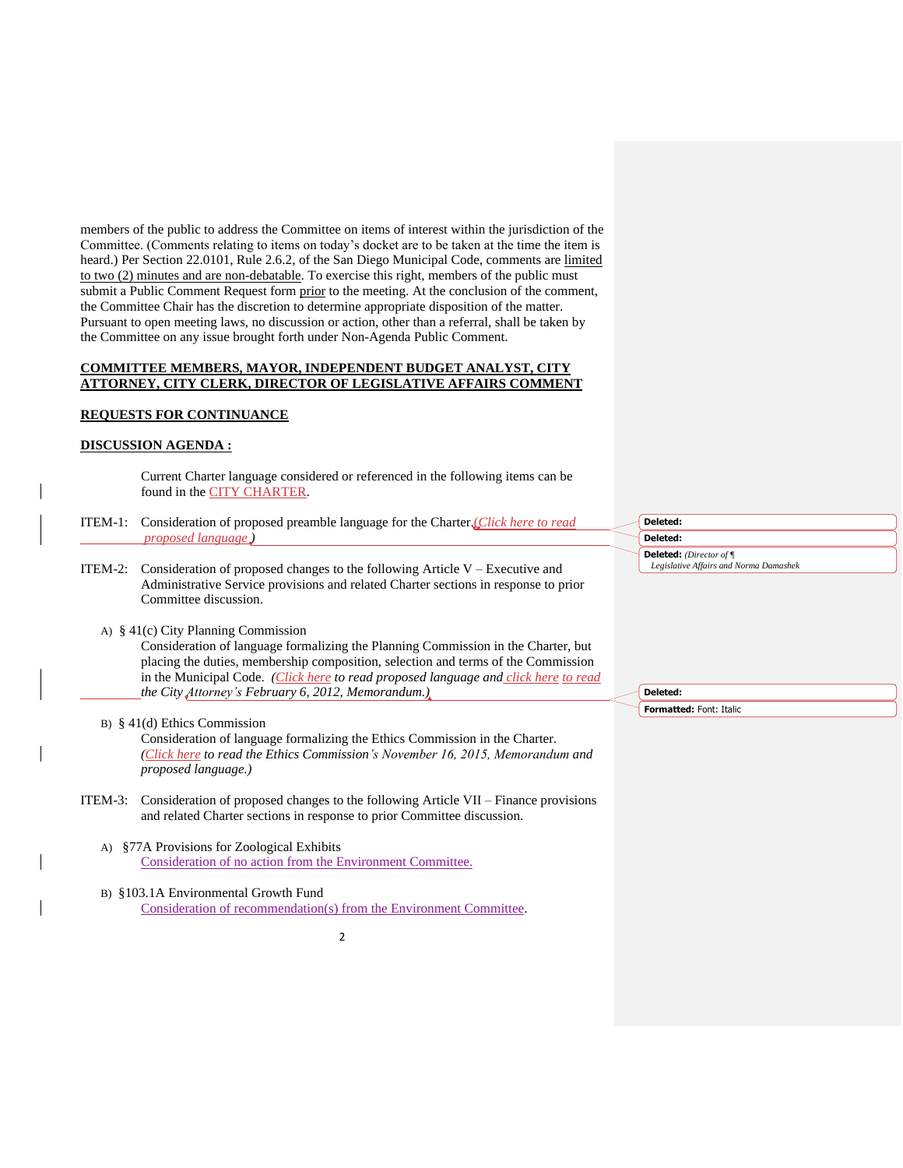members of the public to address the Committee on items of interest within the jurisdiction of the Committee. (Comments relating to items on today's docket are to be taken at the time the item is heard.) Per Section 22.0101, Rule 2.6.2, of the San Diego Municipal Code, comments are limited to two (2) minutes and are non-debatable. To exercise this right, members of the public must submit a Public Comment Request form prior to the meeting. At the conclusion of the comment, the Committee Chair has the discretion to determine appropriate disposition of the matter. Pursuant to open meeting laws, no discussion or action, other than a referral, shall be taken by the Committee on any issue brought forth under Non-Agenda Public Comment.

## **COMMITTEE MEMBERS, MAYOR, INDEPENDENT BUDGET ANALYST, CITY ATTORNEY, CITY CLERK, DIRECTOR OF LEGISLATIVE AFFAIRS COMMENT**

## **REQUESTS FOR CONTINUANCE**

## **DISCUSSION AGENDA :**

Current Charter language considered or referenced in the following items can be found in the **CITY CHARTER**.

- ITEM-1: Consideration of proposed preamble language for the Charter.(*[Click here](http://docs.sandiego.gov/councilcomm_agendas_attach/2015/cr_151203_1.pdf) to read proposed language )*
- ITEM-2: Consideration of proposed changes to the following Article  $V -$  Executive and Administrative Service provisions and related Charter sections in response to prior Committee discussion.
	- A) § 41(c) City Planning Commission

Consideration of language formalizing the Planning Commission in the Charter, but placing the duties, membership composition, selection and terms of the Commission in the Municipal Code. *[\(Click here](http://docs.sandiego.gov/councilcomm_agendas_attach/2015/cr_151203_2a.pdf) to read proposed language and [click here](http://docs.sandiego.gov/councilcomm_agendas_attach/2015/cr_151203_2a1.pdf) to read the City Attorney's February 6, 2012, Memorandum.)*

B) § 41(d) Ethics Commission

Consideration of language formalizing the Ethics Commission in the Charter. *[\(Click here](http://docs.sandiego.gov/councilcomm_agendas_attach/2015/cr_151203_2b.pdf) to read the Ethics Commission's November 16, 2015, Memorandum and proposed language.)*

- ITEM-3: Consideration of proposed changes to the following Article VII Finance provisions and related Charter sections in response to prior Committee discussion.
	- A) §77A Provisions for Zoological Exhibits [Consideration of no action from the Environment Committee.](http://docs.sandiego.gov/councilcomm_agendas_attach/2015/cr_151203_3a.pdf)
	- B) §103.1A Environmental Growth Fund [Consideration of recommendation\(s\)](http://docs.sandiego.gov/councilcomm_agendas_attach/2015/cr_151203_3b.pdf) from the Environment Committee.

 $\overline{\phantom{0}}$ 

# **Deleted: Deleted: Deleted:** *(Director of ¶ Legislative Affairs and Norma Damashek*

**Deleted: Formatted:** Font: Italic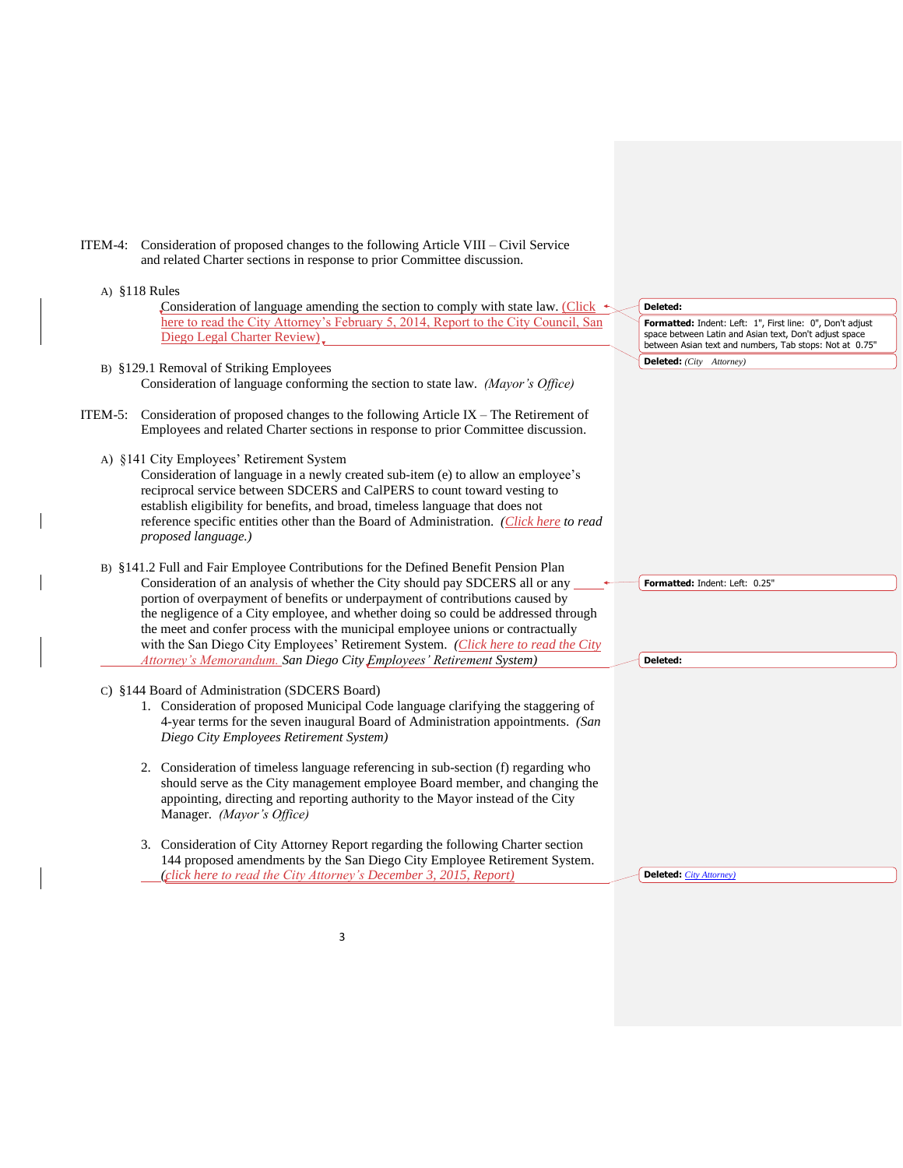| ITEM-4: Consideration of proposed changes to the following Article VIII – Civil Service |  |
|-----------------------------------------------------------------------------------------|--|
| and related Charter sections in response to prior Committee discussion.                 |  |

 $\mathsf{l}$ 

 $\overline{\phantom{a}}$ 

| A) $$118$ Rules                                                                                                                                                                                                                                                                                                                                                                                                                                                                                                                                                                             |                                                                                                                                                                                |
|---------------------------------------------------------------------------------------------------------------------------------------------------------------------------------------------------------------------------------------------------------------------------------------------------------------------------------------------------------------------------------------------------------------------------------------------------------------------------------------------------------------------------------------------------------------------------------------------|--------------------------------------------------------------------------------------------------------------------------------------------------------------------------------|
| Consideration of language amending the section to comply with state law. (Click $\triangleleft$                                                                                                                                                                                                                                                                                                                                                                                                                                                                                             | Deleted:                                                                                                                                                                       |
| here to read the City Attorney's February 5, 2014, Report to the City Council, San<br>Diego Legal Charter Review).                                                                                                                                                                                                                                                                                                                                                                                                                                                                          | Formatted: Indent: Left: 1", First line: 0", Don't adjust<br>space between Latin and Asian text, Don't adjust space<br>between Asian text and numbers, Tab stops: Not at 0.75" |
| B) §129.1 Removal of Striking Employees<br>Consideration of language conforming the section to state law. (Mayor's Office)                                                                                                                                                                                                                                                                                                                                                                                                                                                                  | <b>Deleted:</b> (City Attorney)                                                                                                                                                |
| ITEM-5: Consideration of proposed changes to the following Article IX – The Retirement of<br>Employees and related Charter sections in response to prior Committee discussion.                                                                                                                                                                                                                                                                                                                                                                                                              |                                                                                                                                                                                |
| A) §141 City Employees' Retirement System<br>Consideration of language in a newly created sub-item (e) to allow an employee's<br>reciprocal service between SDCERS and CalPERS to count toward vesting to<br>establish eligibility for benefits, and broad, timeless language that does not<br>reference specific entities other than the Board of Administration. (Click here to read<br>proposed language.)                                                                                                                                                                               |                                                                                                                                                                                |
| B) §141.2 Full and Fair Employee Contributions for the Defined Benefit Pension Plan<br>Consideration of an analysis of whether the City should pay SDCERS all or any<br>portion of overpayment of benefits or underpayment of contributions caused by<br>the negligence of a City employee, and whether doing so could be addressed through<br>the meet and confer process with the municipal employee unions or contractually<br>with the San Diego City Employees' Retirement System. (Click here to read the City<br>Attorney's Memorandum. San Diego City Employees' Retirement System) | Formatted: Indent: Left: 0.25"<br>Deleted:                                                                                                                                     |
| C) §144 Board of Administration (SDCERS Board)<br>1. Consideration of proposed Municipal Code language clarifying the staggering of<br>4-year terms for the seven inaugural Board of Administration appointments. (San<br>Diego City Employees Retirement System)                                                                                                                                                                                                                                                                                                                           |                                                                                                                                                                                |
| Consideration of timeless language referencing in sub-section (f) regarding who<br>2.<br>should serve as the City management employee Board member, and changing the<br>appointing, directing and reporting authority to the Mayor instead of the City<br>Manager. (Mayor's Office)                                                                                                                                                                                                                                                                                                         |                                                                                                                                                                                |
| 3. Consideration of City Attorney Report regarding the following Charter section<br>144 proposed amendments by the San Diego City Employee Retirement System.<br>(click here to read the City Attorney's December 3, 2015, Report)                                                                                                                                                                                                                                                                                                                                                          | <b>Deleted</b> <i>City Attorney</i> )                                                                                                                                          |

3